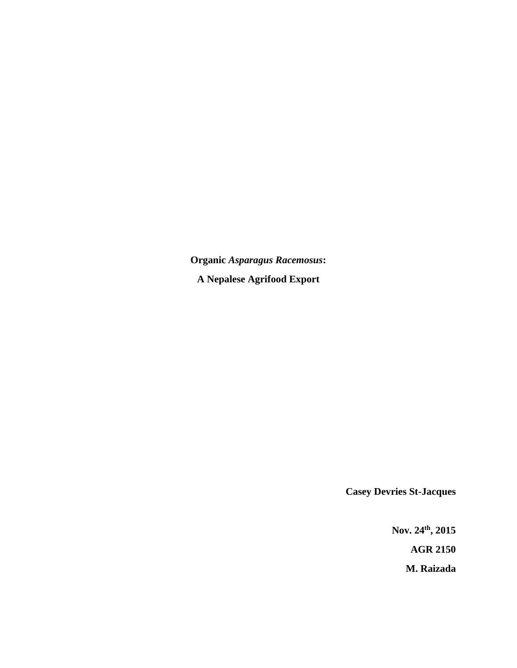**Organic** *Asparagus Racemosus***: A Nepalese Agrifood Export** 

**Casey Devries St-Jacques** 

**Nov. 24th, 2015 AGR 2150 M. Raizada**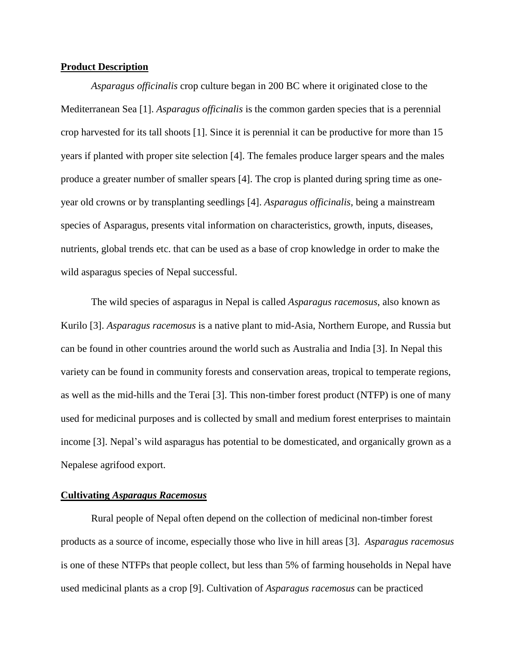## **Product Description**

*Asparagus officinalis* crop culture began in 200 BC where it originated close to the Mediterranean Sea [1]. *Asparagus officinalis* is the common garden species that is a perennial crop harvested for its tall shoots [1]. Since it is perennial it can be productive for more than 15 years if planted with proper site selection [4]. The females produce larger spears and the males produce a greater number of smaller spears [4]. The crop is planted during spring time as oneyear old crowns or by transplanting seedlings [4]. *Asparagus officinalis,* being a mainstream species of Asparagus, presents vital information on characteristics, growth, inputs, diseases, nutrients, global trends etc. that can be used as a base of crop knowledge in order to make the wild asparagus species of Nepal successful.

The wild species of asparagus in Nepal is called *Asparagus racemosus*, also known as Kurilo [3]. *Asparagus racemosus* is a native plant to mid-Asia, Northern Europe, and Russia but can be found in other countries around the world such as Australia and India [3]. In Nepal this variety can be found in community forests and conservation areas, tropical to temperate regions, as well as the mid-hills and the Terai [3]. This non-timber forest product (NTFP) is one of many used for medicinal purposes and is collected by small and medium forest enterprises to maintain income [3]. Nepal's wild asparagus has potential to be domesticated, and organically grown as a Nepalese agrifood export.

### **Cultivating** *Asparagus Racemosus*

Rural people of Nepal often depend on the collection of medicinal non-timber forest products as a source of income, especially those who live in hill areas [3]. *Asparagus racemosus* is one of these NTFPs that people collect, but less than 5% of farming households in Nepal have used medicinal plants as a crop [9]. Cultivation of *Asparagus racemosus* can be practiced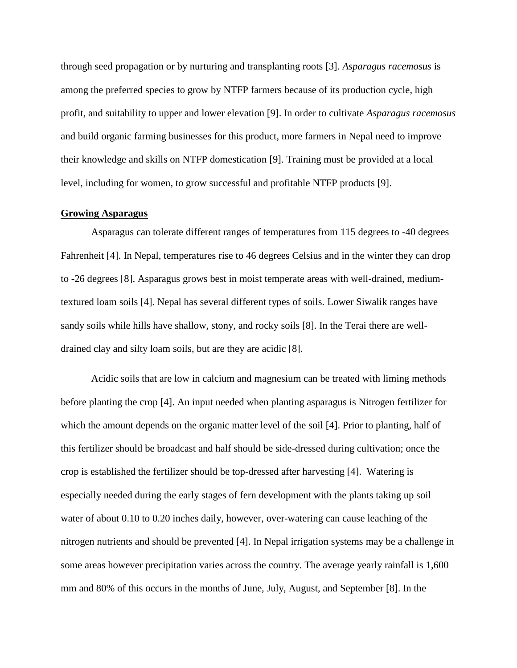through seed propagation or by nurturing and transplanting roots [3]. *Asparagus racemosus* is among the preferred species to grow by NTFP farmers because of its production cycle, high profit, and suitability to upper and lower elevation [9]. In order to cultivate *Asparagus racemosus* and build organic farming businesses for this product, more farmers in Nepal need to improve their knowledge and skills on NTFP domestication [9]. Training must be provided at a local level, including for women, to grow successful and profitable NTFP products [9].

## **Growing Asparagus**

Asparagus can tolerate different ranges of temperatures from 115 degrees to -40 degrees Fahrenheit [4]. In Nepal, temperatures rise to 46 degrees Celsius and in the winter they can drop to -26 degrees [8]. Asparagus grows best in moist temperate areas with well-drained, mediumtextured loam soils [4]. Nepal has several different types of soils. Lower Siwalik ranges have sandy soils while hills have shallow, stony, and rocky soils [8]. In the Terai there are welldrained clay and silty loam soils, but are they are acidic [8].

Acidic soils that are low in calcium and magnesium can be treated with liming methods before planting the crop [4]. An input needed when planting asparagus is Nitrogen fertilizer for which the amount depends on the organic matter level of the soil [4]. Prior to planting, half of this fertilizer should be broadcast and half should be side-dressed during cultivation; once the crop is established the fertilizer should be top-dressed after harvesting [4]. Watering is especially needed during the early stages of fern development with the plants taking up soil water of about 0.10 to 0.20 inches daily, however, over-watering can cause leaching of the nitrogen nutrients and should be prevented [4]. In Nepal irrigation systems may be a challenge in some areas however precipitation varies across the country. The average yearly rainfall is 1,600 mm and 80% of this occurs in the months of June, July, August, and September [8]. In the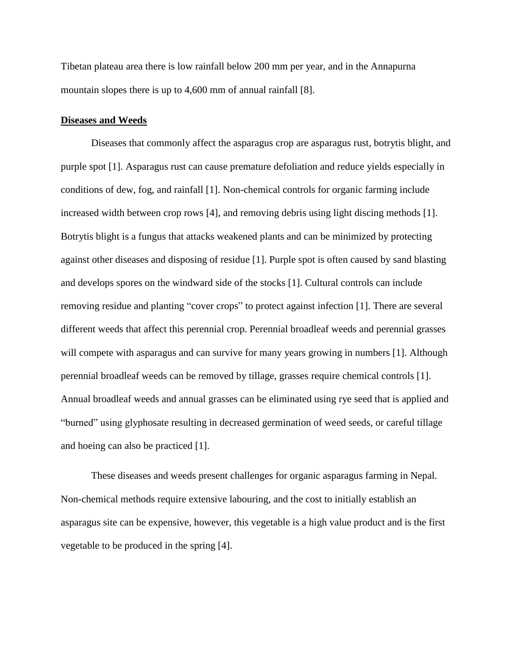Tibetan plateau area there is low rainfall below 200 mm per year, and in the Annapurna mountain slopes there is up to 4,600 mm of annual rainfall [8].

### **Diseases and Weeds**

Diseases that commonly affect the asparagus crop are asparagus rust, botrytis blight, and purple spot [1]. Asparagus rust can cause premature defoliation and reduce yields especially in conditions of dew, fog, and rainfall [1]. Non-chemical controls for organic farming include increased width between crop rows [4], and removing debris using light discing methods [1]. Botrytis blight is a fungus that attacks weakened plants and can be minimized by protecting against other diseases and disposing of residue [1]. Purple spot is often caused by sand blasting and develops spores on the windward side of the stocks [1]. Cultural controls can include removing residue and planting "cover crops" to protect against infection [1]. There are several different weeds that affect this perennial crop. Perennial broadleaf weeds and perennial grasses will compete with asparagus and can survive for many years growing in numbers [1]. Although perennial broadleaf weeds can be removed by tillage, grasses require chemical controls [1]. Annual broadleaf weeds and annual grasses can be eliminated using rye seed that is applied and "burned" using glyphosate resulting in decreased germination of weed seeds, or careful tillage and hoeing can also be practiced [1].

These diseases and weeds present challenges for organic asparagus farming in Nepal. Non-chemical methods require extensive labouring, and the cost to initially establish an asparagus site can be expensive, however, this vegetable is a high value product and is the first vegetable to be produced in the spring [4].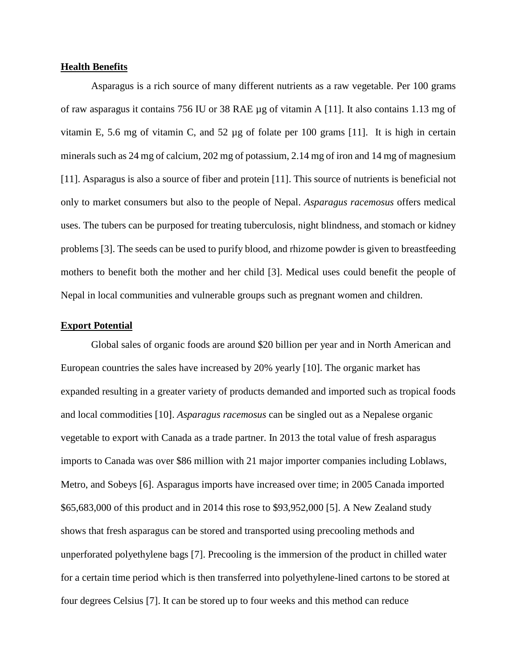## **Health Benefits**

Asparagus is a rich source of many different nutrients as a raw vegetable. Per 100 grams of raw asparagus it contains 756 IU or 38 RAE µg of vitamin A [11]. It also contains 1.13 mg of vitamin E, 5.6 mg of vitamin C, and 52  $\mu$ g of folate per 100 grams [11]. It is high in certain minerals such as 24 mg of calcium, 202 mg of potassium, 2.14 mg of iron and 14 mg of magnesium [11]. Asparagus is also a source of fiber and protein [11]. This source of nutrients is beneficial not only to market consumers but also to the people of Nepal. *Asparagus racemosus* offers medical uses. The tubers can be purposed for treating tuberculosis, night blindness, and stomach or kidney problems [3]. The seeds can be used to purify blood, and rhizome powder is given to breastfeeding mothers to benefit both the mother and her child [3]. Medical uses could benefit the people of Nepal in local communities and vulnerable groups such as pregnant women and children.

### **Export Potential**

Global sales of organic foods are around \$20 billion per year and in North American and European countries the sales have increased by 20% yearly [10]. The organic market has expanded resulting in a greater variety of products demanded and imported such as tropical foods and local commodities [10]. *Asparagus racemosus* can be singled out as a Nepalese organic vegetable to export with Canada as a trade partner. In 2013 the total value of fresh asparagus imports to Canada was over \$86 million with 21 major importer companies including Loblaws, Metro, and Sobeys [6]. Asparagus imports have increased over time; in 2005 Canada imported \$65,683,000 of this product and in 2014 this rose to \$93,952,000 [5]. A New Zealand study shows that fresh asparagus can be stored and transported using precooling methods and unperforated polyethylene bags [7]. Precooling is the immersion of the product in chilled water for a certain time period which is then transferred into polyethylene-lined cartons to be stored at four degrees Celsius [7]. It can be stored up to four weeks and this method can reduce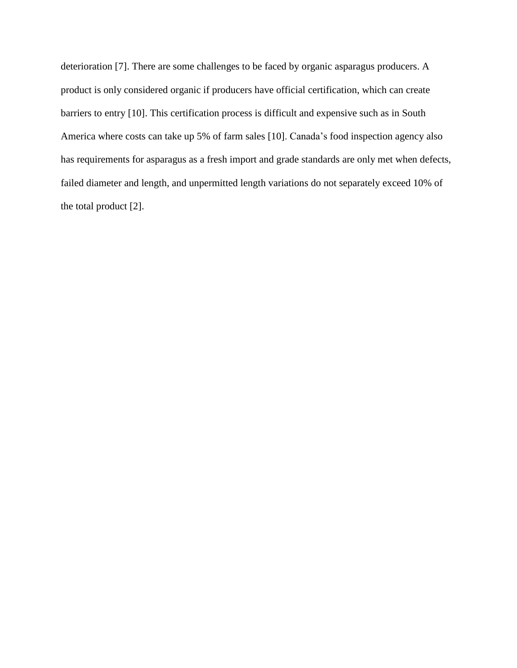deterioration [7]. There are some challenges to be faced by organic asparagus producers. A product is only considered organic if producers have official certification, which can create barriers to entry [10]. This certification process is difficult and expensive such as in South America where costs can take up 5% of farm sales [10]. Canada's food inspection agency also has requirements for asparagus as a fresh import and grade standards are only met when defects, failed diameter and length, and unpermitted length variations do not separately exceed 10% of the total product [2].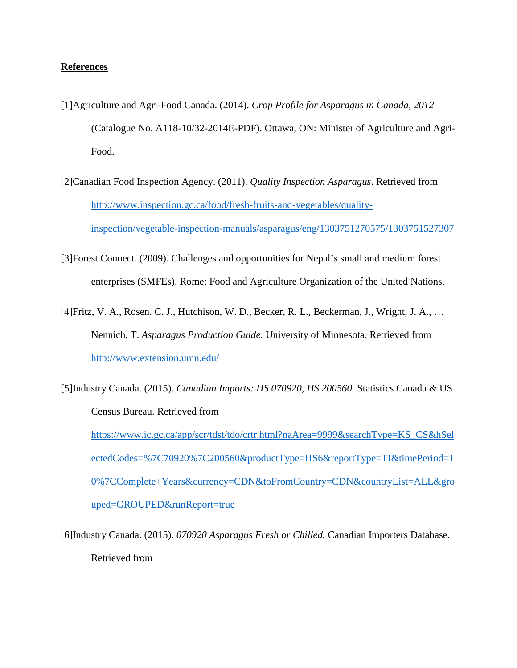# **References**

- [1]Agriculture and Agri-Food Canada. (2014). *Crop Profile for Asparagus in Canada, 2012* (Catalogue No. A118-10/32-2014E-PDF). Ottawa, ON: Minister of Agriculture and Agri-Food.
- [2]Canadian Food Inspection Agency. (2011). *Quality Inspection Asparagus*. Retrieved from [http://www.inspection.gc.ca/food/fresh-fruits-and-vegetables/quality](http://www.inspection.gc.ca/food/fresh-fruits-and-vegetables/quality-inspection/vegetable-inspection-manuals/asparagus/eng/1303751270575/1303751527307)[inspection/vegetable-inspection-manuals/asparagus/eng/1303751270575/1303751527307](http://www.inspection.gc.ca/food/fresh-fruits-and-vegetables/quality-inspection/vegetable-inspection-manuals/asparagus/eng/1303751270575/1303751527307)
- [3]Forest Connect. (2009). Challenges and opportunities for Nepal's small and medium forest enterprises (SMFEs). Rome: Food and Agriculture Organization of the United Nations.
- [4]Fritz, V. A., Rosen. C. J., Hutchison, W. D., Becker, R. L., Beckerman, J., Wright, J. A., … Nennich, T. *Asparagus Production Guide.* University of Minnesota. Retrieved from <http://www.extension.umn.edu/>
- [5]Industry Canada. (2015). *Canadian Imports: HS 070920, HS 200560*. Statistics Canada & US Census Bureau. Retrieved from [https://www.ic.gc.ca/app/scr/tdst/tdo/crtr.html?naArea=9999&searchType=KS\\_CS&hSel](https://www.ic.gc.ca/app/scr/tdst/tdo/crtr.html?naArea=9999&searchType=KS_CS&hSelectedCodes=%7C70920%7C200560&productType=HS6&reportType=TI&timePeriod=10%7CComplete+Years¤cy=CDN&toFromCountry=CDN&countryList=ALL&grouped=GROUPED&runReport=true) [ectedCodes=%7C70920%7C200560&productType=HS6&reportType=TI&timePeriod=1](https://www.ic.gc.ca/app/scr/tdst/tdo/crtr.html?naArea=9999&searchType=KS_CS&hSelectedCodes=%7C70920%7C200560&productType=HS6&reportType=TI&timePeriod=10%7CComplete+Years¤cy=CDN&toFromCountry=CDN&countryList=ALL&grouped=GROUPED&runReport=true) [0%7CComplete+Years&currency=CDN&toFromCountry=CDN&countryList=ALL&gro](https://www.ic.gc.ca/app/scr/tdst/tdo/crtr.html?naArea=9999&searchType=KS_CS&hSelectedCodes=%7C70920%7C200560&productType=HS6&reportType=TI&timePeriod=10%7CComplete+Years¤cy=CDN&toFromCountry=CDN&countryList=ALL&grouped=GROUPED&runReport=true) [uped=GROUPED&runReport=true](https://www.ic.gc.ca/app/scr/tdst/tdo/crtr.html?naArea=9999&searchType=KS_CS&hSelectedCodes=%7C70920%7C200560&productType=HS6&reportType=TI&timePeriod=10%7CComplete+Years¤cy=CDN&toFromCountry=CDN&countryList=ALL&grouped=GROUPED&runReport=true)

[6]Industry Canada. (2015). *070920 Asparagus Fresh or Chilled.* Canadian Importers Database. Retrieved from